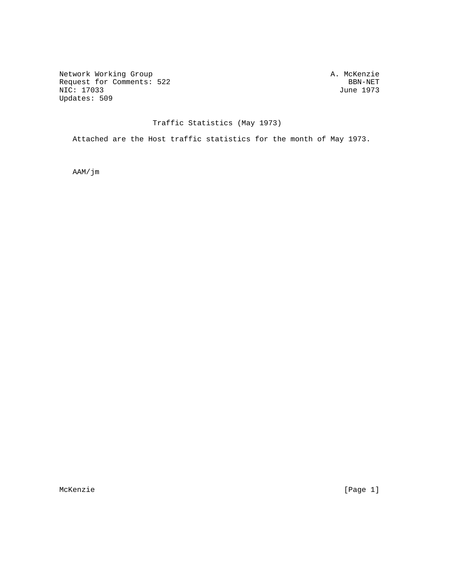Network Working Group<br>Request for Comments: 522 BBN-NET Request for Comments: 522 BBN-NET<br>NIC: 17033 June 1973  $NIC: 17033$ Updates: 509

## Traffic Statistics (May 1973)

Attached are the Host traffic statistics for the month of May 1973.

AAM/jm

McKenzie [Page 1]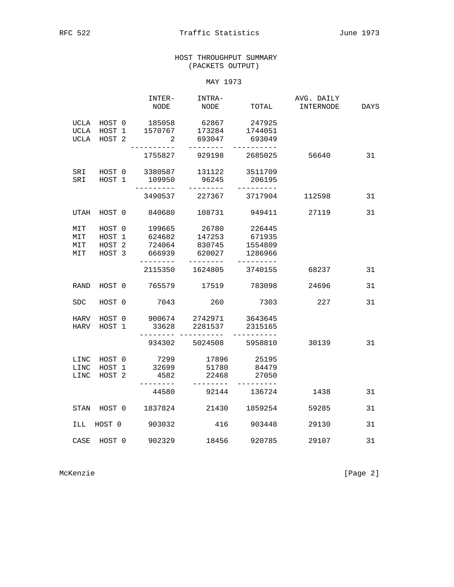## HOST THROUGHPUT SUMMARY (PACKETS OUTPUT)

MAY 1973

|                          |                                                 | INTER-<br>NODE                                    | INTRA-<br>NODE                      | TOTAL                                               | AVG. DAILY<br>INTERNODE | <b>DAYS</b> |
|--------------------------|-------------------------------------------------|---------------------------------------------------|-------------------------------------|-----------------------------------------------------|-------------------------|-------------|
|                          | UCLA HOST 0<br>UCLA HOST 1<br>UCLA HOST 2       | 185058<br>1570767<br>2                            | 62867<br>173284<br>693047           | 247925<br>1744051<br>693049                         |                         |             |
|                          |                                                 | $- - - - -$<br>1755827                            | $- - - - - - - -$<br>929198         | 2685025                                             | 56640                   | 31          |
| SRI<br>SRI               | HOST 0<br>HOST 1                                | 3380587<br>109950<br>---------                    | 131122<br>96245<br>---------        | 3511709<br>206195<br>---------                      |                         |             |
|                          |                                                 |                                                   | 3490537 227367                      | 3717904                                             | 112598                  | 31          |
| UTAH                     | HOST 0                                          | 840680                                            | 108731                              | 949411                                              | 27119                   | 31          |
| MIT<br>MIT<br>MIT<br>MIT | HOST 0<br>HOST 1<br>HOST <sub>2</sub><br>HOST 3 | 199665<br>624682<br>724064<br>666939<br>--------- | 26780<br>147253<br>830745<br>620027 | 226445<br>671935<br>1554809<br>1286966<br>--------- |                         |             |
|                          |                                                 |                                                   | ---------<br>2115350 1624805        | 3740155                                             | 68237                   | 31          |
| <b>RAND</b>              | HOST 0                                          | 765579                                            | 17519                               | 783098                                              | 24696                   | 31          |
| <b>SDC</b>               | HOST 0                                          | 7043                                              | 260                                 | 7303                                                | 227                     | 31          |
| HARV<br>HARV             | HOST 0<br>HOST 1                                | 900674 2742971<br>33628<br>_____________________  | 2281537                             | 3643645<br>2315165                                  |                         |             |
|                          |                                                 |                                                   | 934302 5024508                      | 5958810                                             | 30139                   | 31          |
| LINC<br>LINC<br>LINC     | HOST 0<br>HOST 1<br>HOST <sub>2</sub>           | 7299<br>32699<br>4582                             | 17896<br>51780<br>22468             | 25195<br>84479<br>27050                             |                         |             |
|                          |                                                 | --------<br>44580                                 | ---------                           | ---------<br>92144 136724                           | 1438                    | 31          |
| STAN                     | HOST 0                                          | 1837824                                           | 21430                               | 1859254                                             | 59285                   | 31          |
| ILL                      | HOST 0                                          | 903032                                            | 416                                 | 903448                                              | 29130                   | 31          |
| CASE                     | HOST 0                                          | 902329                                            | 18456                               | 920785                                              | 29107                   | 31          |

McKenzie [Page 2]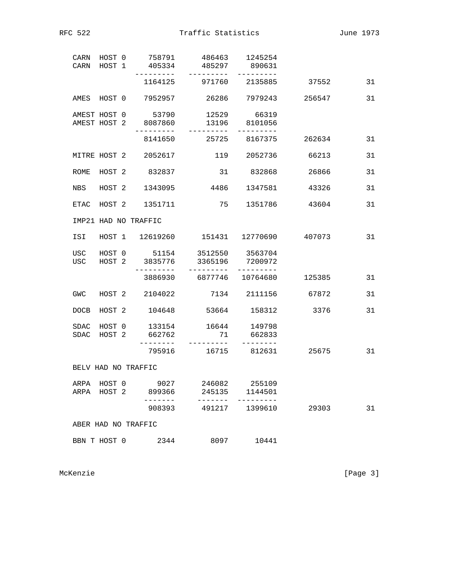RFC 522 Traffic Statistics June 1973

| CARN HOST 1         |  | CARN HOST 0 758791<br>405334               | 485297                                   | 486463 1245254<br>890631                   |                                            |    |
|---------------------|--|--------------------------------------------|------------------------------------------|--------------------------------------------|--------------------------------------------|----|
|                     |  |                                            | 1164125 971760 2135885                   |                                            | 37552                                      | 31 |
| AMES HOST 0         |  |                                            | 7952957    26286  7979243                |                                            | 256547                                     | 31 |
|                     |  | AMEST HOST 0 53790<br>AMEST HOST 2 8087860 | -----------                              | 12529 66319<br>13196 8101056<br>---------- |                                            |    |
|                     |  |                                            | 8141650 25725 8167375                    |                                            | 262634                                     | 31 |
|                     |  | MITRE HOST 2 2052617                       | 119 2052736                              |                                            | 66213                                      | 31 |
| ROME                |  | HOST 2 832837                              |                                          | 31 832868                                  | 26866                                      | 31 |
| NBS                 |  | HOST 2 1343095                             | 4486                                     | 1347581                                    | 43326                                      | 31 |
|                     |  | ETAC HOST 2 1351711                        | 75                                       | 1351786                                    | 43604                                      | 31 |
|                     |  | IMP21 HAD NO TRAFFIC                       |                                          |                                            |                                            |    |
| ISI                 |  |                                            |                                          |                                            | HOST 1  12619260  151431  12770690  407073 | 31 |
| USC                 |  | USC HOST 2 3835776<br>_________            | HOST 0 51154 3512550 3563704<br>3365196  | 7200972                                    |                                            |    |
|                     |  |                                            | 3886930 6877746 10764680                 |                                            | 125385                                     | 31 |
| GWC                 |  | HOST 2 2104022                             | 7134 2111156                             |                                            | 67872                                      | 31 |
| DOCB                |  |                                            | HOST 2 104648 53664 158312               |                                            | 3376                                       | 31 |
| SDAC                |  | SDAC HOST 2 662762                         | HOST 0 133154 16644 149798               | 71 662833                                  |                                            |    |
|                     |  |                                            | 795916 16715 812631                      |                                            | 25675                                      | 31 |
| BELV HAD NO TRAFFIC |  |                                            |                                          |                                            |                                            |    |
|                     |  | ARPA HOST 2 899366<br>$- - - - - - -$      | ARPA HOST 0 9027 246082 255109<br>245135 | 1144501                                    |                                            |    |
|                     |  | 908393                                     | 491217                                   | 1399610                                    | 29303                                      | 31 |
| ABER HAD NO TRAFFIC |  |                                            |                                          |                                            |                                            |    |
| BBN T HOST 0        |  | 2344                                       | 8097                                     | 10441                                      |                                            |    |

McKenzie [Page 3]